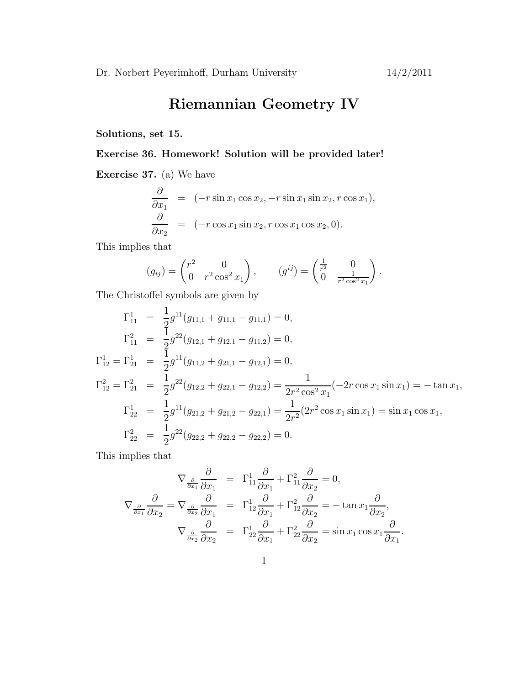## Riemannian Geometry IV

Solutions, set 15.

## Exercise 36. Homework! Solution will be provided later!

Exercise 37. (a) We have

$$
\frac{\partial}{\partial x_1} = (-r \sin x_1 \cos x_2, -r \sin x_1 \sin x_2, r \cos x_1),
$$
  

$$
\frac{\partial}{\partial x_2} = (-r \cos x_1 \sin x_2, r \cos x_1 \cos x_2, 0).
$$

This implies that

$$
(g_{ij}) = \begin{pmatrix} r^2 & 0 \\ 0 & r^2 \cos^2 x_1 \end{pmatrix}, \qquad (g^{ij}) = \begin{pmatrix} \frac{1}{r^2} & 0 \\ 0 & \frac{1}{r^2 \cos^2 x_1} \end{pmatrix}.
$$

The Christoffel symbols are given by

$$
\Gamma_{11}^{1} = \frac{1}{2}g^{11}(g_{11,1} + g_{11,1} - g_{11,1}) = 0,
$$
\n
$$
\Gamma_{11}^{2} = \frac{1}{2}g^{22}(g_{12,1} + g_{12,1} - g_{11,2}) = 0,
$$
\n
$$
\Gamma_{12}^{1} = \Gamma_{21}^{1} = \frac{1}{2}g^{11}(g_{11,2} + g_{21,1} - g_{12,1}) = 0,
$$
\n
$$
\Gamma_{12}^{2} = \Gamma_{21}^{2} = \frac{1}{2}g^{22}(g_{12,2} + g_{22,1} - g_{12,2}) = \frac{1}{2r^{2}\cos^{2}x_{1}}(-2r\cos x_{1}\sin x_{1}) = -\tan x_{1},
$$
\n
$$
\Gamma_{22}^{1} = \frac{1}{2}g^{11}(g_{21,2} + g_{21,2} - g_{22,1}) = \frac{1}{2r^{2}}(2r^{2}\cos x_{1}\sin x_{1}) = \sin x_{1}\cos x_{1},
$$
\n
$$
\Gamma_{22}^{2} = \frac{1}{2}g^{22}(g_{22,2} + g_{22,2} - g_{22,2}) = 0.
$$

This implies that

$$
\nabla_{\frac{\partial}{\partial x_1}} \frac{\partial}{\partial x_1} = \Gamma_{11}^1 \frac{\partial}{\partial x_1} + \Gamma_{11}^2 \frac{\partial}{\partial x_2} = 0,
$$
  

$$
\nabla_{\frac{\partial}{\partial x_1}} \frac{\partial}{\partial x_2} = \nabla_{\frac{\partial}{\partial x_2}} \frac{\partial}{\partial x_1} = \Gamma_{12}^1 \frac{\partial}{\partial x_1} + \Gamma_{12}^2 \frac{\partial}{\partial x_2} = -\tan x_1 \frac{\partial}{\partial x_2},
$$
  

$$
\nabla_{\frac{\partial}{\partial x_2}} \frac{\partial}{\partial x_2} = \Gamma_{22}^1 \frac{\partial}{\partial x_1} + \Gamma_{22}^2 \frac{\partial}{\partial x_2} = \sin x_1 \cos x_1 \frac{\partial}{\partial x_1}.
$$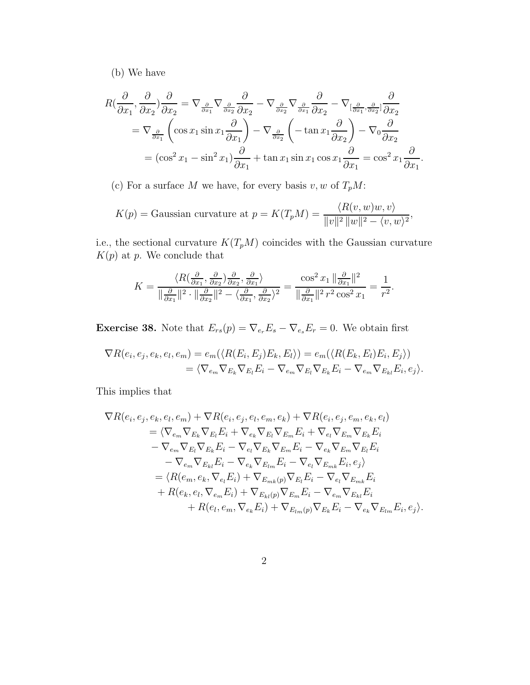(b) We have

$$
R\left(\frac{\partial}{\partial x_1},\frac{\partial}{\partial x_2}\right)\frac{\partial}{\partial x_2} = \nabla_{\frac{\partial}{\partial x_1}}\nabla_{\frac{\partial}{\partial x_2}}\frac{\partial}{\partial x_2} - \nabla_{\frac{\partial}{\partial x_2}}\nabla_{\frac{\partial}{\partial x_1}}\frac{\partial}{\partial x_2} - \nabla_{\left[\frac{\partial}{\partial x_1},\frac{\partial}{\partial x_2}\right]}\frac{\partial}{\partial x_2}
$$
  
=  $\nabla_{\frac{\partial}{\partial x_1}}\left(\cos x_1 \sin x_1 \frac{\partial}{\partial x_1}\right) - \nabla_{\frac{\partial}{\partial x_2}}\left(-\tan x_1 \frac{\partial}{\partial x_2}\right) - \nabla_0 \frac{\partial}{\partial x_2}$   
=  $(\cos^2 x_1 - \sin^2 x_1)\frac{\partial}{\partial x_1} + \tan x_1 \sin x_1 \cos x_1 \frac{\partial}{\partial x_1} = \cos^2 x_1 \frac{\partial}{\partial x_1}.$ 

(c) For a surface  $M$  we have, for every basis  $v,w$  of  $T_pM\colon$ 

$$
K(p) = \text{Gaussian curvature at } p = K(T_p M) = \frac{\langle R(v, w)w, v \rangle}{\|v\|^2 \|w\|^2 - \langle v, w \rangle^2},
$$

i.e., the sectional curvature  $K(T_pM)$  coincides with the Gaussian curvature  $K(p)$  at p. We conclude that

$$
K = \frac{\langle R(\frac{\partial}{\partial x_1}, \frac{\partial}{\partial x_2})\frac{\partial}{\partial x_2}, \frac{\partial}{\partial x_1}\rangle}{\|\frac{\partial}{\partial x_1}\|^2 \cdot \|\frac{\partial}{\partial x_2}\|^2 - \langle \frac{\partial}{\partial x_1}, \frac{\partial}{\partial x_2}\rangle^2} = \frac{\cos^2 x_1 \|\frac{\partial}{\partial x_1}\|^2}{\|\frac{\partial}{\partial x_1}\|^2 r^2 \cos^2 x_1} = \frac{1}{r^2}.
$$

**Exercise 38.** Note that  $E_{rs}(p) = \nabla_{e_r} E_s - \nabla_{e_s} E_r = 0$ . We obtain first

$$
\nabla R(e_i, e_j, e_k, e_l, e_m) = e_m(\langle R(E_i, E_j)E_k, E_l \rangle) = e_m(\langle R(E_k, E_l)E_i, E_j \rangle)
$$
  
=  $\langle \nabla_{e_m} \nabla_{E_k} \nabla_{E_l} E_i - \nabla_{e_m} \nabla_{E_k} E_i - \nabla_{e_m} \nabla_{E_{kl}} E_i, e_j \rangle.$ 

This implies that

$$
\nabla R(e_i, e_j, e_k, e_l, e_m) + \nabla R(e_i, e_j, e_l, e_m, e_k) + \nabla R(e_i, e_j, e_m, e_k, e_l) \n= \langle \nabla_{e_m} \nabla_{E_k} \nabla_{E_l} E_i + \nabla_{e_k} \nabla_{E_n} \nabla_{E_m} E_i + \nabla_{e_l} \nabla_{E_m} \nabla_{E_k} E_i \n- \nabla_{e_m} \nabla_{E_l} \nabla_{E_k} E_i - \nabla_{e_l} \nabla_{E_k} \nabla_{E_m} E_i - \nabla_{e_k} \nabla_{E_m} \nabla_{E_l} E_i \n- \nabla_{e_m} \nabla_{E_{kl}} E_i - \nabla_{e_k} \nabla_{E_{lm}} E_i - \nabla_{e_l} \nabla_{E_{mk}} E_i, e_j) \n= \langle R(e_m, e_k, \nabla_{e_l} E_i) + \nabla_{E_{mk}(p)} \nabla_{E_l} E_i - \nabla_{e_m} \nabla_{E_{mk}} E_i \n+ R(e_k, e_l, \nabla_{e_m} E_i) + \nabla_{E_{kl}(p)} \nabla_{E_m} E_i - \nabla_{e_m} \nabla_{E_{kl}} E_i \n+ R(e_l, e_m, \nabla_{e_k} E_i) + \nabla_{E_{lm}(p)} \nabla_{E_k} E_i - \nabla_{e_k} \nabla_{E_{lm}} E_i, e_j \rangle.
$$